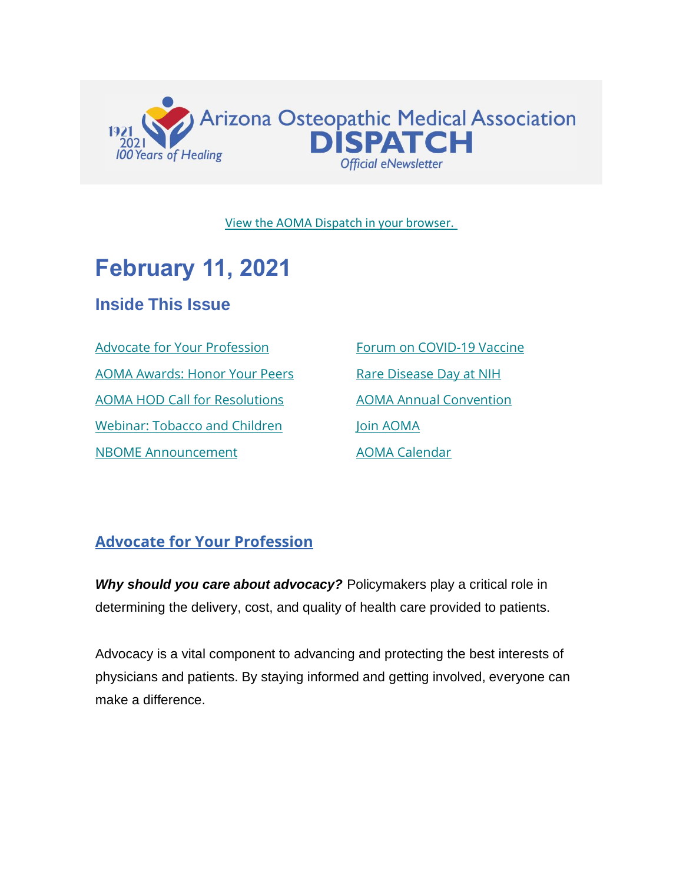

[View the AOMA Dispatch in your browser.](https://www.az-osteo.org/page/Dispatch)

## **February 11, 2021**

## **Inside This Issue**

[Advocate for Your Profession](#page-0-0) [AOMA Awards: Honor Your Peers](#page-2-0) [AOMA HOD Call for Resolutions](#page-3-0) [Webinar: Tobacco and Children](#page-4-0) [NBOME Announcement](#page-4-0)

[Forum on COVID-19 Vaccine](#page-6-0) [Rare Disease Day at NIH](#page-8-0) [AOMA Annual Convention](#page-8-1) [Join AOMA](http://www.az-osteo.org/Join) [AOMA Calendar](https://www.az-osteo.org/events/event_list.asp)

## <span id="page-0-0"></span>**Advocate for Your Profession**

*Why should you care about advocacy?* Policymakers play a critical role in determining the delivery, cost, and quality of health care provided to patients.

Advocacy is a vital component to advancing and protecting the best interests of physicians and patients. By staying informed and getting involved, everyone can make a difference.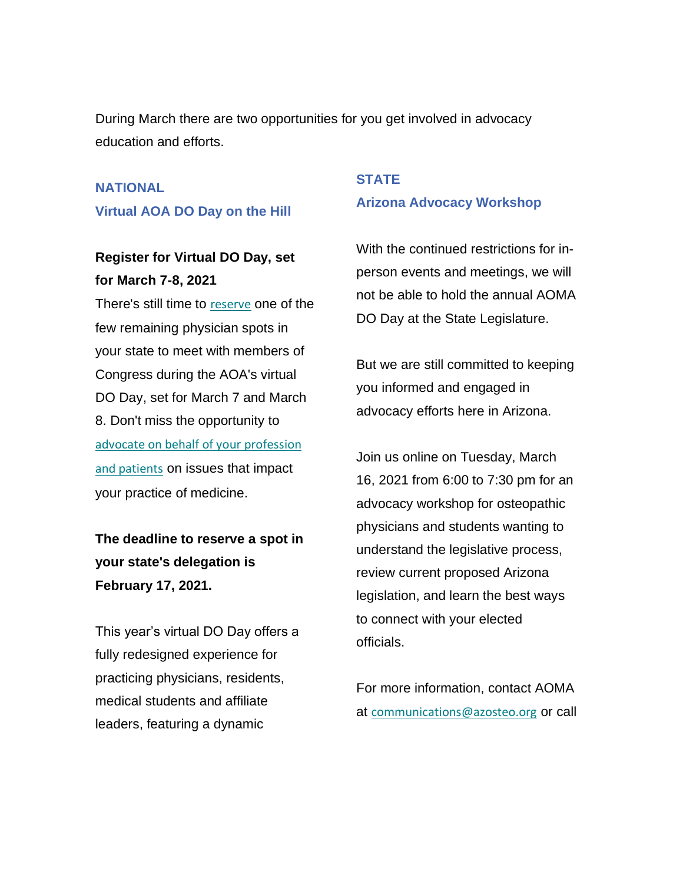During March there are two opportunities for you get involved in advocacy education and efforts.

#### **NATIONAL**

#### **Virtual AOA DO Day on the Hill**

### **Register for Virtual DO Day, set for March 7-8, 2021**

There's still time to [reserve](https://mailview.bulletinhealthcare.com/mailview.aspx?m=2021021001osteo&r=seed_10188922-78cd&l=006-bad&t=c) one of the few remaining physician spots in your state to meet with members of Congress during the AOA's virtual DO Day, set for March 7 and March 8. Don't miss the opportunity to [advocate on behalf of your profession](https://mailview.bulletinhealthcare.com/mailview.aspx?m=2021021001osteo&r=seed_10188922-78cd&l=007-206&t=c)  [and patients](https://mailview.bulletinhealthcare.com/mailview.aspx?m=2021021001osteo&r=seed_10188922-78cd&l=007-206&t=c) on issues that impact your practice of medicine.

## **The deadline to reserve a spot in your state's delegation is February 17, 2021.**

This year's virtual DO Day offers a fully redesigned experience for practicing physicians, residents, medical students and affiliate leaders, featuring a dynamic

#### **STATE**

#### **Arizona Advocacy Workshop**

With the continued restrictions for inperson events and meetings, we will not be able to hold the annual AOMA DO Day at the State Legislature.

But we are still committed to keeping you informed and engaged in advocacy efforts here in Arizona.

Join us online on Tuesday, March 16, 2021 from 6:00 to 7:30 pm for an advocacy workshop for osteopathic physicians and students wanting to understand the legislative process, review current proposed Arizona legislation, and learn the best ways to connect with your elected officials.

For more information, contact AOMA at [communications@azosteo.org](http://communications@azosteo.org) or call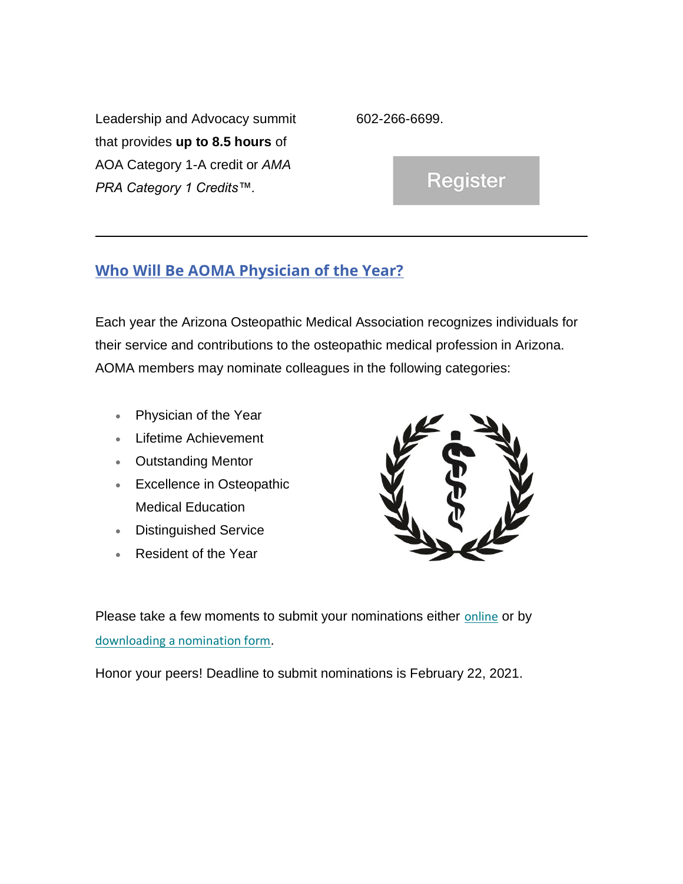Leadership and Advocacy summit that provides **up to 8.5 hours** of AOA Category 1-A credit or *AMA PRA Category 1 Credits™.*

602-266-6699.

Register

#### <span id="page-2-0"></span>**Who Will Be AOMA Physician of the Year?**

Each year the Arizona Osteopathic Medical Association recognizes individuals for their service and contributions to the osteopathic medical profession in Arizona. AOMA members may nominate colleagues in the following categories:

- Physician of the Year
- Lifetime Achievement
- Outstanding Mentor
- Excellence in Osteopathic Medical Education
- Distinguished Service
- Resident of the Year



Please take a few moments to submit your nominations either [online](https://www.az-osteo.org/surveys/?id=1554358) or by [downloading a nomination form](https://aoma.ce21sites.com/wp-content/uploads/sites/24/2021/02/2021-Awards-Nomination-Form.pdf).

Honor your peers! Deadline to submit nominations is February 22, 2021.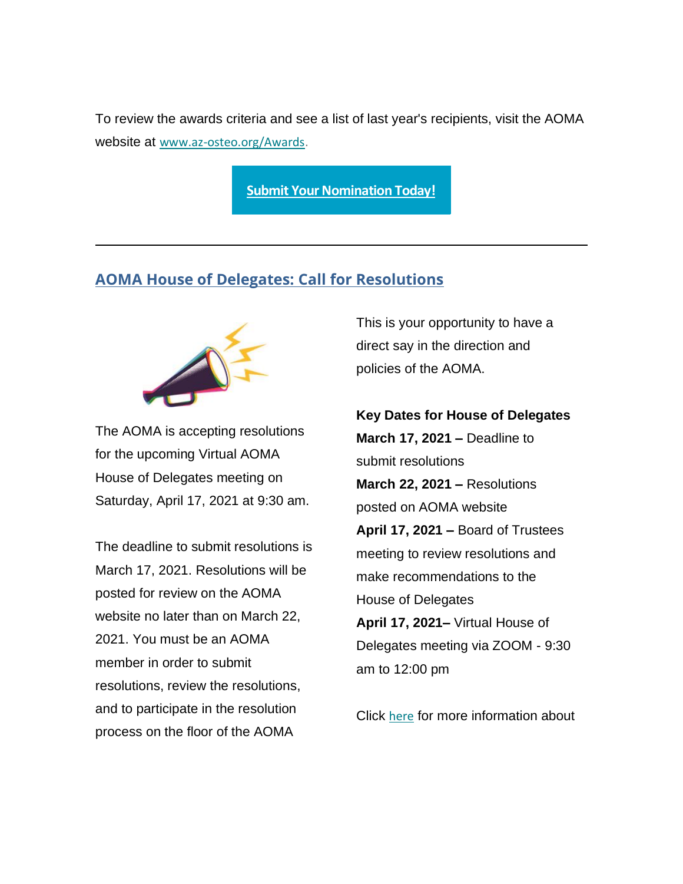To review the awards criteria and see a list of last year's recipients, visit the AOMA website at [www.az-osteo.org/Awards](http://www.az-osteo.org/Awards).

**[Submit Your Nomination Today!](https://www.az-osteo.org/surveys/?id=1554358)**

#### <span id="page-3-0"></span>**AOMA House of Delegates: Call for Resolutions**



The AOMA is accepting resolutions for the upcoming Virtual AOMA House of Delegates meeting on Saturday, April 17, 2021 at 9:30 am.

The deadline to submit resolutions is March 17, 2021. Resolutions will be posted for review on the AOMA website no later than on March 22, 2021. You must be an AOMA member in order to submit resolutions, review the resolutions, and to participate in the resolution process on the floor of the AOMA

This is your opportunity to have a direct say in the direction and policies of the AOMA.

**Key Dates for House of Delegates March 17, 2021 –** Deadline to submit resolutions **March 22, 2021 –** Resolutions posted on AOMA website **April 17, 2021 –** Board of Trustees meeting to review resolutions and make recommendations to the House of Delegates **April 17, 2021–** Virtual House of Delegates meeting via ZOOM - 9:30

Click [here](https://www.az-osteo.org/page/HouseofDelegates) for more information about

am to 12:00 pm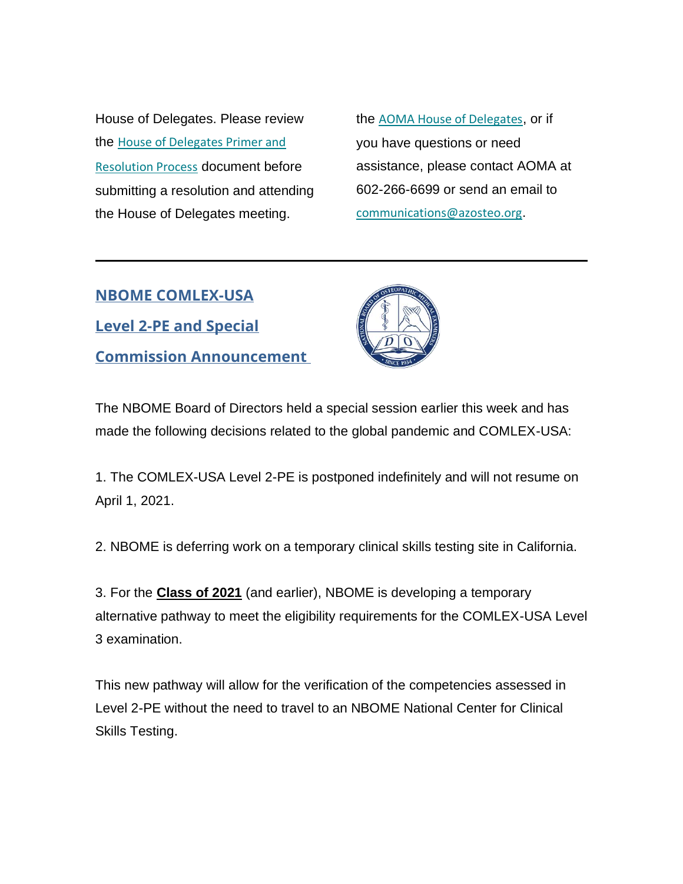House of Delegates. Please review the [House of Delegates Primer and](https://www.az-osteo.org/resource/resmgr/house_of_delegates/aoma_house_of_delegates_prim.pdf)  [Resolution Process](https://www.az-osteo.org/resource/resmgr/house_of_delegates/aoma_house_of_delegates_prim.pdf) document before submitting a resolution and attending the House of Delegates meeting.

the [AOMA House of Delegates](https://www.az-osteo.org/page/HouseofDelegates), or if you have questions or need assistance, please contact AOMA at 602-266-6699 or send an email to [communications@azosteo.org](mailto:communications@azosteo.org).

<span id="page-4-0"></span>**NBOME COMLEX-USA Level 2-PE and Special Commission Announcement**



The NBOME Board of Directors held a special session earlier this week and has made the following decisions related to the global pandemic and COMLEX-USA:

1. The COMLEX-USA Level 2-PE is postponed indefinitely and will not resume on April 1, 2021.

2. NBOME is deferring work on a temporary clinical skills testing site in California.

3. For the **Class of 2021** (and earlier), NBOME is developing a temporary alternative pathway to meet the eligibility requirements for the COMLEX-USA Level 3 examination.

This new pathway will allow for the verification of the competencies assessed in Level 2-PE without the need to travel to an NBOME National Center for Clinical Skills Testing.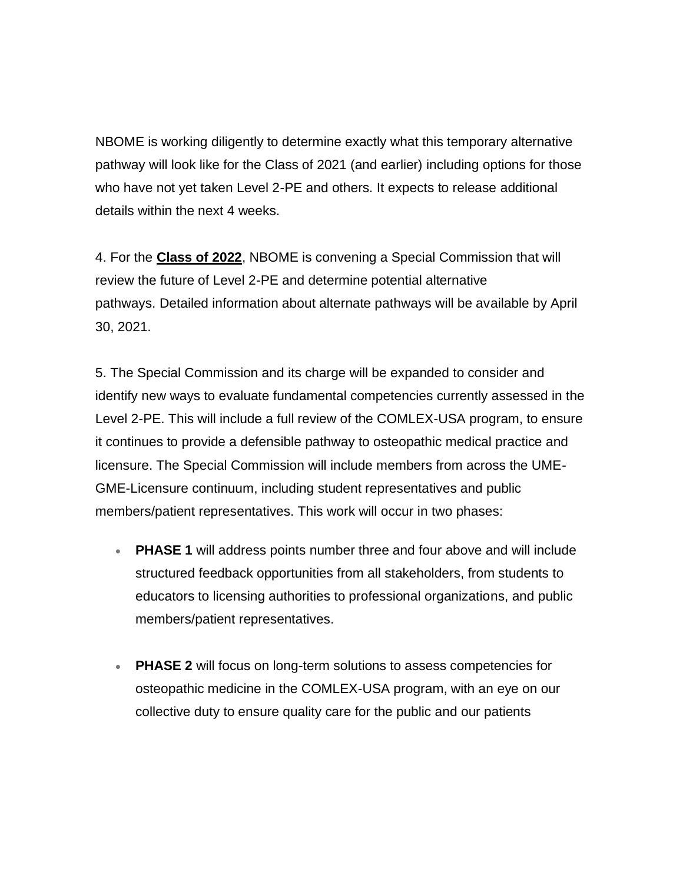NBOME is working diligently to determine exactly what this temporary alternative pathway will look like for the Class of 2021 (and earlier) including options for those who have not yet taken Level 2-PE and others. It expects to release additional details within the next 4 weeks.

4. For the **Class of 2022**, NBOME is convening a Special Commission that will review the future of Level 2-PE and determine potential alternative pathways. Detailed information about alternate pathways will be available by April 30, 2021.

5. The Special Commission and its charge will be expanded to consider and identify new ways to evaluate fundamental competencies currently assessed in the Level 2-PE. This will include a full review of the COMLEX-USA program, to ensure it continues to provide a defensible pathway to osteopathic medical practice and licensure. The Special Commission will include members from across the UME-GME-Licensure continuum, including student representatives and public members/patient representatives. This work will occur in two phases:

- **PHASE 1** will address points number three and four above and will include structured feedback opportunities from all stakeholders, from students to educators to licensing authorities to professional organizations, and public members/patient representatives.
- **PHASE 2** will focus on long-term solutions to assess competencies for osteopathic medicine in the COMLEX-USA program, with an eye on our collective duty to ensure quality care for the public and our patients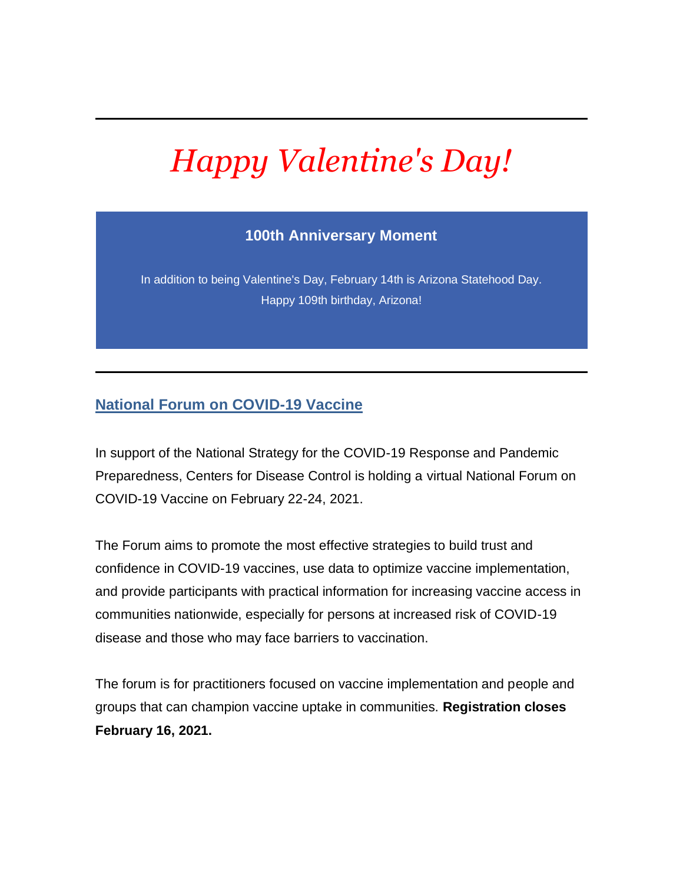# *Happy Valentine's Day!*

#### **100th Anniversary Moment**

In addition to being Valentine's Day, February 14th is Arizona Statehood Day. Happy 109th birthday, Arizona!

#### <span id="page-6-0"></span>**National Forum on COVID-19 Vaccine**

In support of the National Strategy for the COVID-19 Response and Pandemic Preparedness, Centers for Disease Control is holding a virtual National Forum on COVID-19 Vaccine on February 22-24, 2021.

The Forum aims to promote the most effective strategies to build trust and confidence in COVID-19 vaccines, use data to optimize vaccine implementation, and provide participants with practical information for increasing vaccine access in communities nationwide, especially for persons at increased risk of COVID-19 disease and those who may face barriers to vaccination.

The forum is for practitioners focused on vaccine implementation and people and groups that can champion vaccine uptake in communities. **Registration closes February 16, 2021.**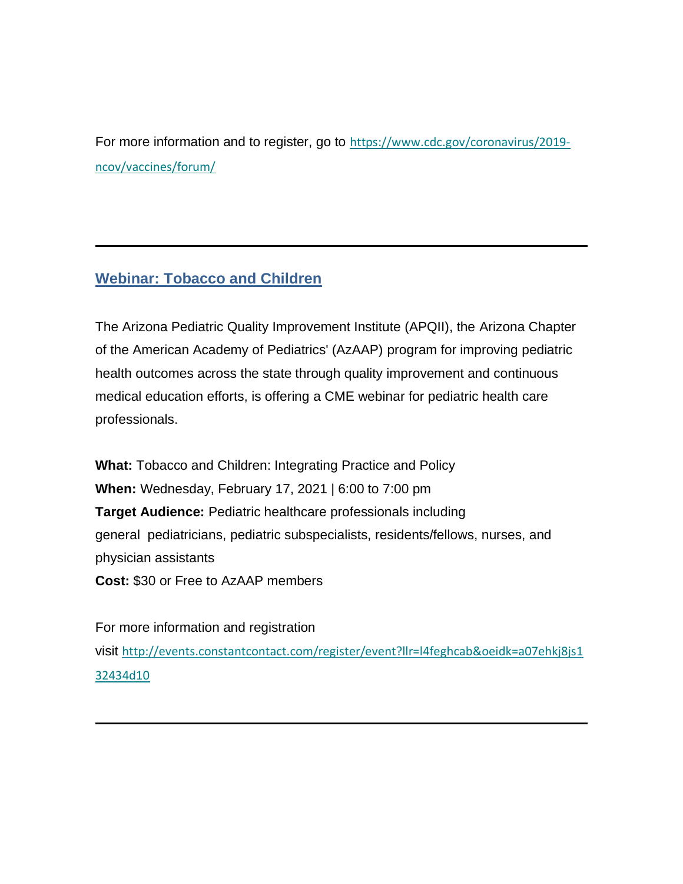For more information and to register, go to [https://www.cdc.gov/coronavirus/2019](https://www.cdc.gov/coronavirus/2019-ncov/vaccines/forum/) [ncov/vaccines/forum/](https://www.cdc.gov/coronavirus/2019-ncov/vaccines/forum/)

#### **Webinar: Tobacco and Children**

The Arizona Pediatric Quality Improvement Institute (APQII), the Arizona Chapter of the American Academy of Pediatrics' (AzAAP) program for improving pediatric health outcomes across the state through quality improvement and continuous medical education efforts, is offering a CME webinar for pediatric health care professionals.

**What:** Tobacco and Children: Integrating Practice and Policy **When:** Wednesday, February 17, 2021 | 6:00 to 7:00 pm **Target Audience:** Pediatric healthcare professionals including general pediatricians, pediatric subspecialists, residents/fellows, nurses, and physician assistants **Cost:** \$30 or Free to AzAAP members

For more information and registration visit [http://events.constantcontact.com/register/event?llr=l4feghcab&oeidk=a07ehkj8js1](http://r20.rs6.net/tn.jsp?f=001TLqeAUiHh_FQO0UcjN3Yklw_6p80ngYYJRQFvCUtSX1Iu_jzygO1P4dYRjzfnE1pMw2QDGIUglO4-3gI0-605YRlyW3w8_1wM_GoWv9pQLHdmuFQY5vQ9WGsNSPFyj6zHd30E2Pmt5RUQ0CwveX5CdTaitSjRbQgutlSGQ5g5HIyZ_C_e4t4b722Vc7FVoGwxFhAZnp3SuwVUqOb4An3mT5giaqr7IOW7B2ArnI-SXziTCX8rUCz_C2Fq3oa-VtwS3k9u2bSdCRdniVWiIkAcw==&c=TU5PIf9iZQHYD0hQENqtKI7UgnDp2wJ2BReV14BonJPY8oCyq0_gPA==&ch=9_3SXzSd5ZIA1unkW7dJXyQSE7WjUvWJzaIk4T9yNomt35HQNIbmBQ==) [32434d10](http://r20.rs6.net/tn.jsp?f=001TLqeAUiHh_FQO0UcjN3Yklw_6p80ngYYJRQFvCUtSX1Iu_jzygO1P4dYRjzfnE1pMw2QDGIUglO4-3gI0-605YRlyW3w8_1wM_GoWv9pQLHdmuFQY5vQ9WGsNSPFyj6zHd30E2Pmt5RUQ0CwveX5CdTaitSjRbQgutlSGQ5g5HIyZ_C_e4t4b722Vc7FVoGwxFhAZnp3SuwVUqOb4An3mT5giaqr7IOW7B2ArnI-SXziTCX8rUCz_C2Fq3oa-VtwS3k9u2bSdCRdniVWiIkAcw==&c=TU5PIf9iZQHYD0hQENqtKI7UgnDp2wJ2BReV14BonJPY8oCyq0_gPA==&ch=9_3SXzSd5ZIA1unkW7dJXyQSE7WjUvWJzaIk4T9yNomt35HQNIbmBQ==)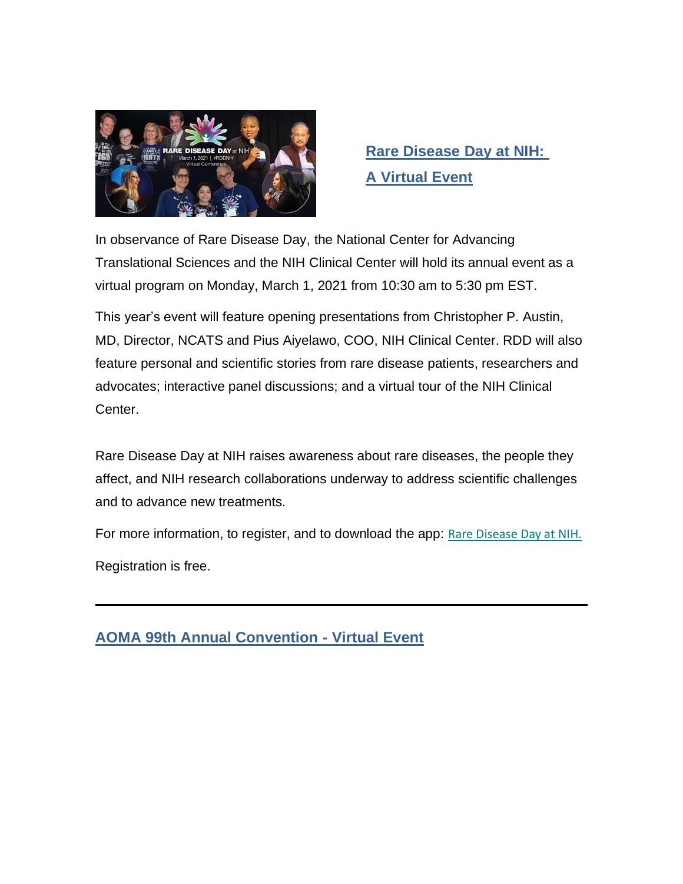

## <span id="page-8-0"></span>**Rare Disease Day at NIH: A Virtual Event**

In observance of Rare Disease Day, the National Center for Advancing Translational Sciences and the NIH Clinical Center will hold its annual event as a virtual program on Monday, March 1, 2021 from 10:30 am to 5:30 pm EST.

This year's event will feature opening presentations from Christopher P. Austin, MD, Director, NCATS and Pius Aiyelawo, COO, NIH Clinical Center. RDD will also feature personal and scientific stories from rare disease patients, researchers and advocates; interactive panel discussions; and a virtual tour of the NIH Clinical Center.

Rare Disease Day at NIH raises awareness about rare diseases, the people they affect, and NIH research collaborations underway to address scientific challenges and to advance new treatments.

For more information, to register, and to download the app: [Rare Disease Day at NIH.](https://lnks.gd/l/eyJhbGciOiJIUzI1NiJ9.eyJidWxsZXRpbl9saW5rX2lkIjoxMDUsInVyaSI6ImJwMjpjbGljayIsImJ1bGxldGluX2lkIjoiMjAyMTAyMTAuMzQ5ODQ1MTEiLCJ1cmwiOiJodHRwczovL25jYXRzLm5paC5nb3YvcmRkIn0.3XjzjzhLRtKqN1VLtxRuNKQ58ch6Lj4VwhipTcXC7dM/s/615621105/br/97329135350-l)

Registration is free.

<span id="page-8-1"></span>**AOMA 99th Annual Convention - Virtual Event**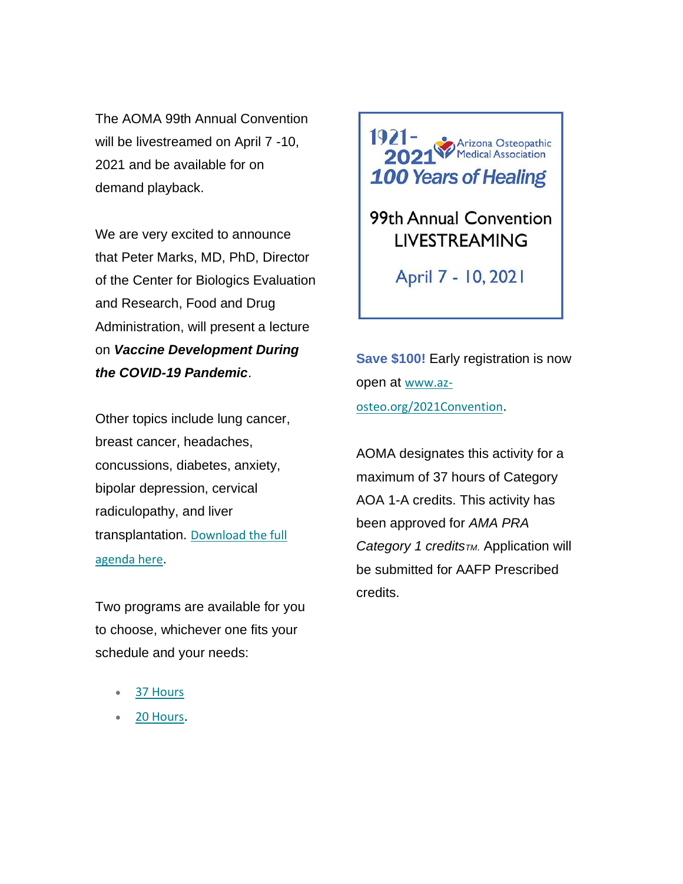The AOMA 99th Annual Convention will be livestreamed on April 7 -10, 2021 and be available for on demand playback.

We are very excited to announce that Peter Marks, MD, PhD, Director of the Center for Biologics Evaluation and Research, Food and Drug Administration, will present a lecture on *Vaccine Development During the COVID-19 Pandemic*.

Other topics include lung cancer, breast cancer, headaches, concussions, diabetes, anxiety, bipolar depression, cervical radiculopathy, and liver transplantation. [Download the full](https://aoma.ce21sites.com/wp-content/uploads/sites/24/2021/02/AOMA-99th-Annual-Convention-Agenda.pdf)  [agenda here](https://aoma.ce21sites.com/wp-content/uploads/sites/24/2021/02/AOMA-99th-Annual-Convention-Agenda.pdf).

Two programs are available for you to choose, whichever one fits your schedule and your needs:

- [37 Hours](https://aoma.ce21sites.com/wp-content/uploads/sites/24/2021/02/AOMA-99th-Annual-Convention-Agenda.pdf)
- [20 Hours](https://aoma.ce21sites.com/wp-content/uploads/sites/24/2021/02/AOMA-99th-Annual-Convention-Agenda-Two-Day-Program.pdf).



99th Annual Convention **LIVESTREAMING** 

April 7 - 10, 2021

**Save \$100!** Early registration is now open at [www.az](https://www.az-osteo.org/2021Convention)[osteo.org/2021Convention](https://www.az-osteo.org/2021Convention).

AOMA designates this activity for a maximum of 37 hours of Category AOA 1-A credits. This activity has been approved for *AMA PRA Category 1 creditsTM*. Application will be submitted for AAFP Prescribed credits.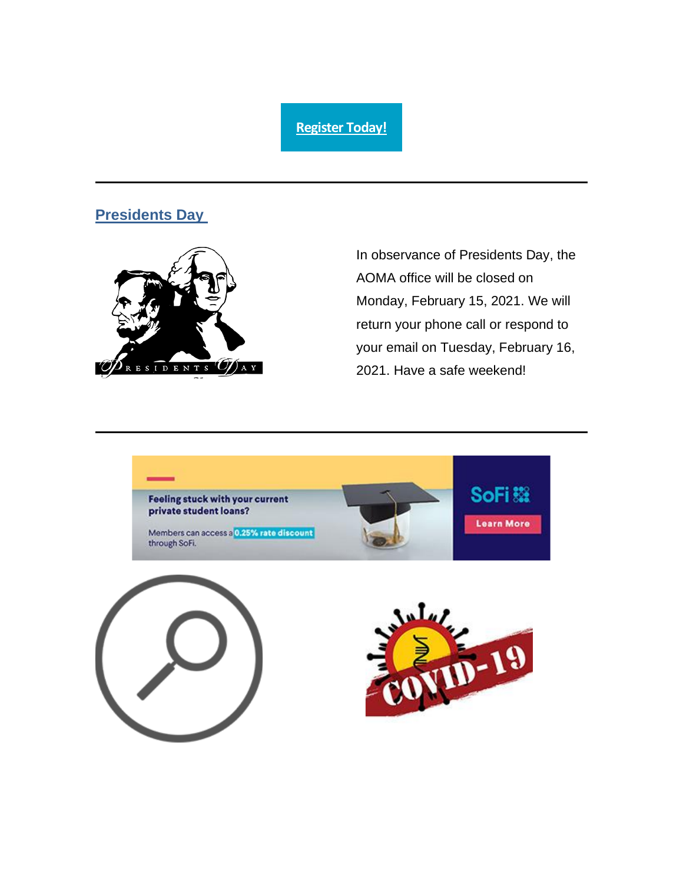#### **[Register Today!](https://www.az-osteo.org/events/EventDetails.aspx?id=1216422&group=)**

#### **Presidents Day**



In observance of Presidents Day, the AOMA office will be closed on Monday, February 15, 2021. We will return your phone call or respond to your email on Tuesday, February 16, 2021. Have a safe weekend!

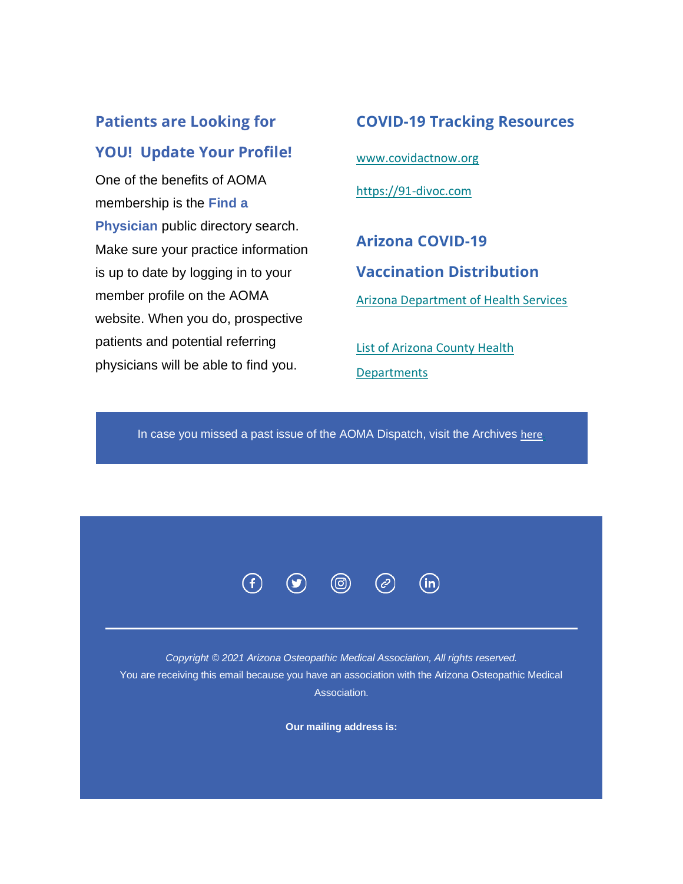## **Patients are Looking for YOU! Update Your Profile!**

One of the benefits of AOMA membership is the **Find a Physician** public directory search. Make sure your practice information is up to date by logging in to your member profile on the AOMA website. When you do, prospective patients and potential referring physicians will be able to find you.

**COVID-19 Tracking Resources** [www.covidactnow.org](http://www.covidactnow.org/) [https://91-divoc.com](https://91-divoc.com/) **Arizona COVID-19 Vaccination Distribution** [Arizona Department of Health Services](https://azdhs.gov/preparedness/epidemiology-disease-control/infectious-disease-epidemiology/index.php#novel-coronavirus-find-vaccine)

[List of Arizona County Health](https://www.az-osteo.org/resource/resmgr/docs/Arizona_Counties__Public_He.docx)  **[Departments](https://www.az-osteo.org/resource/resmgr/docs/Arizona_Counties__Public_He.docx)** 

In case you missed a past issue of the AOMA Dispatch, visit the Archives here



*Copyright © 2021 Arizona Osteopathic Medical Association, All rights reserved.* You are receiving this email because you have an association with the Arizona Osteopathic Medical Association.

**Our mailing address is:**